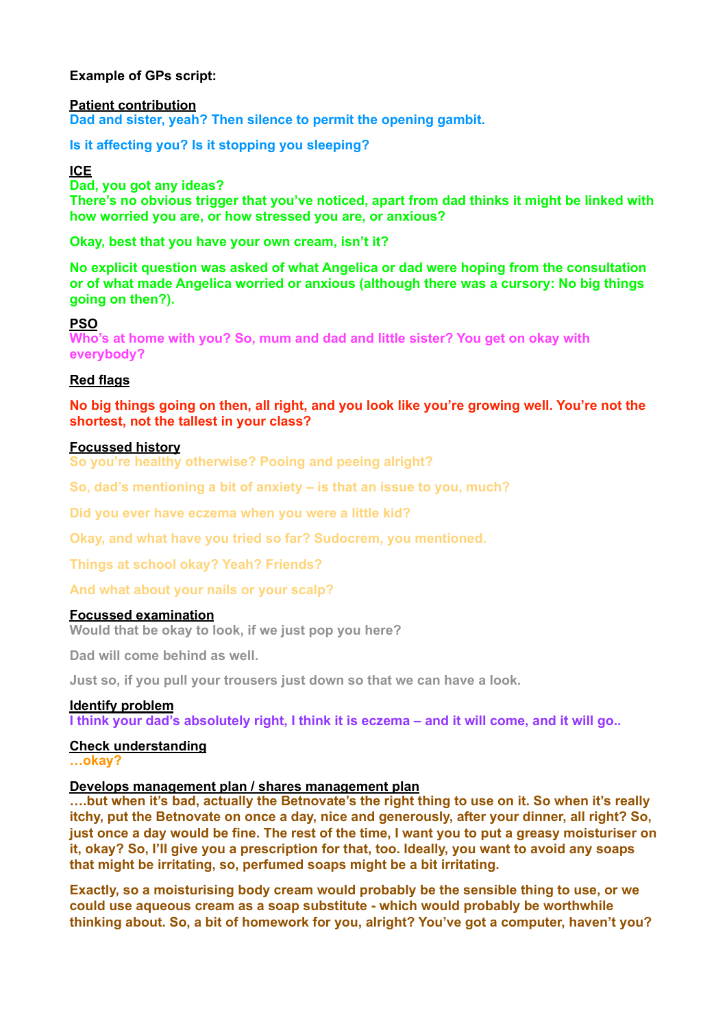# **Example of GPs script:**

**Patient contribution Dad and sister, yeah? Then silence to permit the opening gambit.** 

**Is it affecting you? Is it stopping you sleeping?** 

**ICE** 

**Dad, you got any ideas?**

**There's no obvious trigger that you've noticed, apart from dad thinks it might be linked with how worried you are, or how stressed you are, or anxious?** 

**Okay, best that you have your own cream, isn't it?** 

**No explicit question was asked of what Angelica or dad were hoping from the consultation or of what made Angelica worried or anxious (although there was a cursory: No big things going on then?).** 

**PSO** 

**Who's at home with you? So, mum and dad and little sister? You get on okay with everybody?** 

## **Red flags**

**No big things going on then, all right, and you look like you're growing well. You're not the shortest, not the tallest in your class?** 

## **Focussed history**

**So you're healthy otherwise? Pooing and peeing alright?**

**So, dad's mentioning a bit of anxiety – is that an issue to you, much?** 

**Did you ever have eczema when you were a little kid?** 

**Okay, and what have you tried so far? Sudocrem, you mentioned.** 

**Things at school okay? Yeah? Friends?** 

**And what about your nails or your scalp?**

## **Focussed examination**

**Would that be okay to look, if we just pop you here?** 

**Dad will come behind as well.** 

**Just so, if you pull your trousers just down so that we can have a look.** 

#### **Identify problem**

**I think your dad's absolutely right, I think it is eczema – and it will come, and it will go..** 

# **Check understanding**

**…okay?** 

## **Develops management plan / shares management plan**

**….but when it's bad, actually the Betnovate's the right thing to use on it. So when it's really itchy, put the Betnovate on once a day, nice and generously, after your dinner, all right? So, just once a day would be fine. The rest of the time, I want you to put a greasy moisturiser on it, okay? So, I'll give you a prescription for that, too. Ideally, you want to avoid any soaps that might be irritating, so, perfumed soaps might be a bit irritating.** 

**Exactly, so a moisturising body cream would probably be the sensible thing to use, or we could use aqueous cream as a soap substitute - which would probably be worthwhile thinking about. So, a bit of homework for you, alright? You've got a computer, haven't you?**